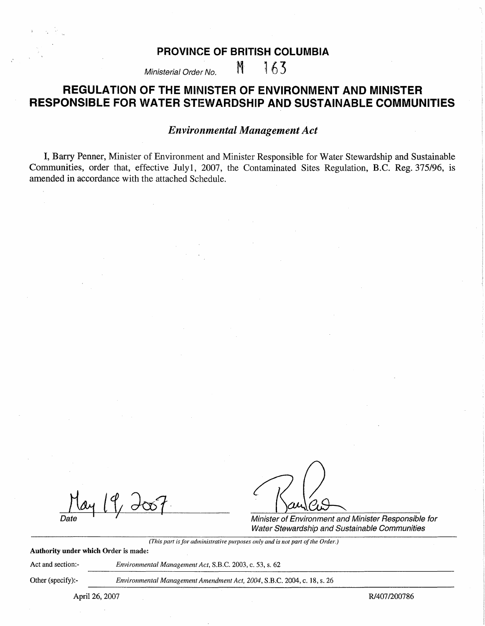# **PROVINCE OF BRITISH COLUMBIA**

Ministerial Order No.  $M = 163$ 

# **REGULATION OF THE MINISTER OF ENVIRONMENT AND MINISTER RESPONSIBLE FOR WATER STEWARDSHIP AND SUSTAINABLE COMMUNITIES**

# *Environmental Management Act*

I, Barry Penner, Minister of Environment and Minister Responsible for Water Stewardship and Sustainable Communities, order that, effective July1, 2007, the Contaminated Sites Regulation, B.C. Reg. 375/96, is amended in accordance with the attached Schedule.

Minister of Environment and Minister Responsible tor Water Stewardship and Sustainable Communities

*(This part is for administrative purposes only and is not part of the Order.)* 

**Authority under which Order** is made:

Act and section:- *Environmental Management Act.* S.B.C. 2003, c. 53, s. 62

Other (specify):- *Environmental Management Amendment Act, 2004,* S.B.C. 2004, c. 18, s. 26

April 26, 2007 R/407/200786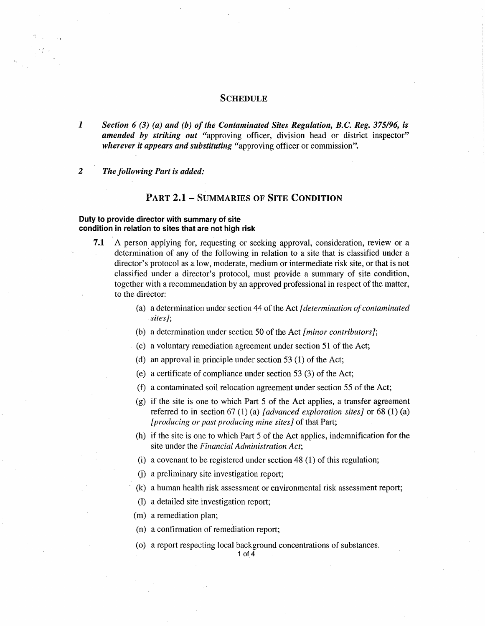#### **SCHEDULE**

*1 Section 6 (3) (a) and (b) of the Contaminated Sites Regulation, B.C. Reg. 375/96, is amended by striking out* "approving officer, division head or district inspector" *wherever it appears and substituting* "approving officer or commission".

### *2 The following Part is added:*

## **PART 2.1- SUMMARIES OF SITE CONDITION**

#### **Duty to provide director with summary of site condition in relation to sites that are not high risk**

- **7 .1** A person applying for, requesting or seeking approval, consideration, review or a determination of any of the following in relation to a site that is classified under a director's protocol as a low, moderate, medium or intermediate risk site, or that is not classified under a director's protocol, must provide a summary of site condition, together with a recommendation by an approved professional in respect of the matter, to the director:
	- (a) a determination under section 44 of the Act *[determination of contaminated sites];*
	- (b) a determination under section 50 of the Act *[minor contributors];*
	- ( c) a voluntary remediation agreement under section 51 of the Act;
	- (d) an approval in principle under section 53 (1) of the Act;
	- ( e) a certificate of compliance under section 53 (3) of the Act;
	- (f) a contaminated soil relocation agreement under section 55 of the Act;
	- (g) if the site is one to which Part 5 of the Act applies, a transfer agreement referred to in section 67 (1) (a) *[advanced exploration sites]* or 68 (1) (a) *[producing or past producing mine sites]* of that Part;
	- (h) if the site is one to which Part 5 of the Act applies, indemnification for the site under the *Financial Administration Act;*
	- (i) a covenant to be registered under section  $48(1)$  of this regulation;
	- (j) a preliminary site investigation report;
	- (k) a human health risk assessment or environmental risk assessment report;
	- (1) a detailed site investigation report;
	- (m) a remediation plan;
	- (n) a confirmation of remediation report;
	- ( o) a report respecting local background concentrations of substances.

1 of 4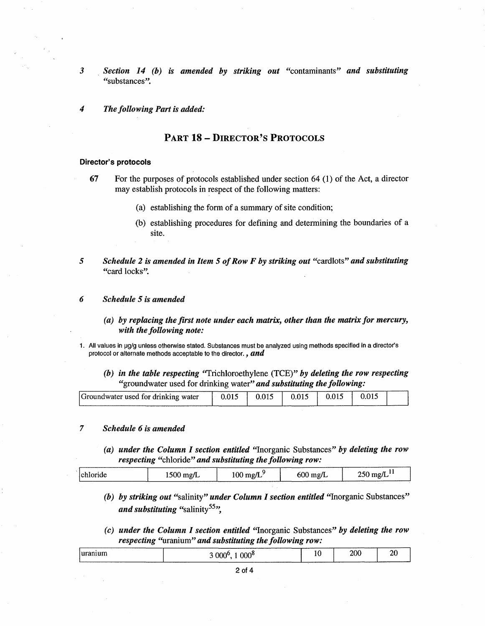- *3* . *Section 14 (b)* is *amended by striking out* "contaminants" *and substituting*  "substances".
- *4 The following Part is added:*

# PART 18 - DIRECTOR'S PROTOCOLS

#### **Director's protocols**

- (a) establishing the form of a summary of site condition;
- (b) establishing procedures for defining and determining the boundaries of a site.
- *5 Schedule* **2** is *amended in Item 5 of Row F by striking out* "cardlots" *and substituting*  "card locks".

#### *6 Schedule 5 is amended*

- *( a) by replacing the first note under each matrix, other than the matrix for mercury, with the following note:*
- 1. All values in µg/g unless otherwise stated. Substances must be analyzed using methods specified in a director's protocol or alternate methods acceptable to the director. , *and* 
	- *(b) in the table respecting* "Trichloroethylene (TCE)" *by deleting the row respecting*  "groundwater used for drinking water" *and substituting the following:*

| Groundwater used for drinking water |  |  |  |
|-------------------------------------|--|--|--|
|                                     |  |  |  |

#### 7 *Schedule 6 is amended*

*(a) under the Column I section entitled* "Inorganic Substances" *by deleting the row respecting* "chloride" *and substituting the following row:* 

| <i>chloride</i> | mg/L<br>10 U U | mg/L<br>$100 -$ | mg/L<br>υυ | mg/L |
|-----------------|----------------|-----------------|------------|------|
|                 |                |                 |            |      |

- *(b) by striking out* "salinity" *under Column I section entitled* "Inorganic Substances" *and substituting* "salinity<sup>55</sup>".
- ( c) *under the Column I section entitled* ''Inorganic Substances" *by deleting the row respecting* "uranium" *and substituting the following row:*

| <i>uranium</i> | 000 <sup>8</sup><br>$000^{\circ}$ | ----<br>10 | 200<br>---- | $\Delta r$<br>∠<br>- - |
|----------------|-----------------------------------|------------|-------------|------------------------|
|                |                                   |            |             |                        |

**<sup>67</sup>** For the purposes of protocols established under section 64 (1) of the Act, a director may establish protocols in respect of the following matters: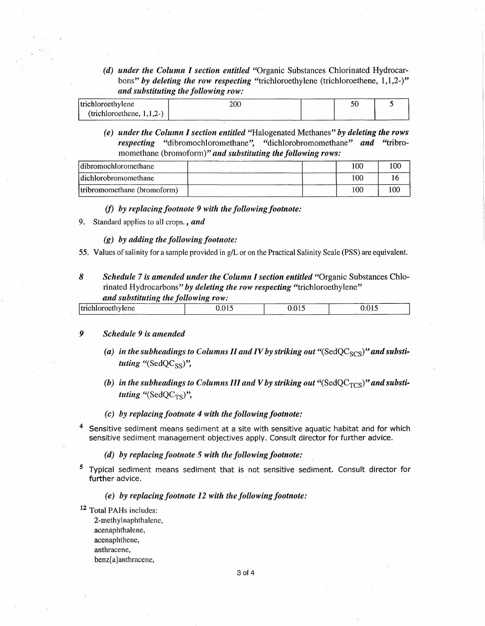*( d) under the Column I section entitled* "Organic Substances Chlorinated Hydrocarbons" by deleting the row respecting "trichloroethylene (trichloroethene, 1,1,2-)" *and substituting the following row:* 

| <i>l</i> trichloroethylene   |  |  |
|------------------------------|--|--|
| (trichloroethene, $1,1,2$ -) |  |  |

*( e) under the Column I section entitled* "Halogenated Methanes" *by deleting the rows respecting* "dibromochloromethane", "dichlorobromomethane" *and* "tribromomethane (bromoform)" *and substituting the following rows:* 

| dibromochloromethane         | 100 | 100 |
|------------------------------|-----|-----|
| dichlorobromomethane         |     |     |
| (tribromomethane (bromoform) | 100 |     |

# *(f) by replacing footnote 9 with the following footnote:*

9. Standard applies to all crops., *and* 

#### *(g) by adding the following footnote:*

55. Values of salinity for a sample provided in g/L or on the Practical Salinity Scale (PSS) are equivalent.

### *8 Schedule 7 is amended under the Column I section entitled* "Organic Substances Chlorinated Hydrocarbons" *by deleting the row respecting* "trichloroethylene" *and substituting the following row:*

| and substanting the journ meg form. |  |  |
|-------------------------------------|--|--|
| Itrichloroethylene                  |  |  |
|                                     |  |  |

#### *9 Schedule 9 is amended*

- (a) in the subheadings to Columns II and IV by striking out "(SedQC<sub>SCS</sub>)" and substi*tuting* "(SedQC<sub>SS</sub>)",
- (b) in the subheadings to Columns III and V by striking out "( $SedQC<sub>TCS</sub>$ )" and substi*tuting* "(SedQC<sub>TS</sub>)",
- *(c) by replacing footnote 4 with the following footnote:*
- Sensitive sediment means sediment at a site with sensitive aquatic habitat and for which sensitive sediment management objectives apply. Consult director for further advice.
	- *( d) by replacing footnote 5 with the following footnote:*
- 5 Typical sediment means sediment that is not sensitive sediment. Consult director for further advice.

## *(e) by replacing footnote 12 with the following footnote:*

12 Total PAHs includes: 2-methylnaphthalene, acenaphthalene, acenaphthene, anthracene, benz[a] anthracene,